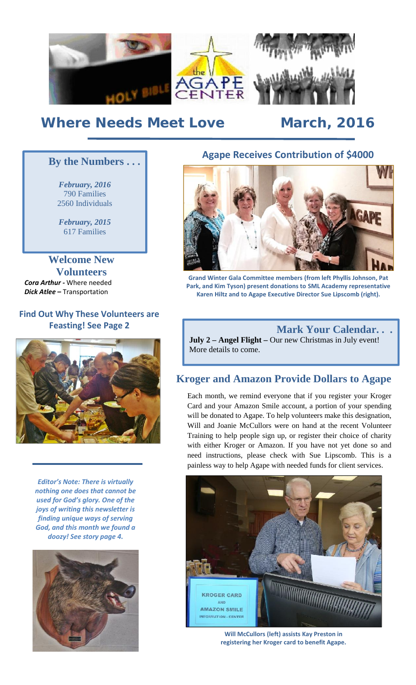

# *Where Needs Meet Love March, 2016*

*February, 2016* 790 Families 2560 Individuals

*February, 2015* 617 Families

**Welcome New Volunteers** *Cora Arthur -* Where needed *Dick Atlee –* Transportation

## **Find Out Why These Volunteers are Feasting! See Page 2**



*Editor's Note: There is virtually nothing one does that cannot be used for God's glory. One of the joys of writing this newsletter is finding unique ways of serving God, and this month we found a doozy! See story page 4.*



# **Agape Receives Contribution of \$4000 By the Numbers . . .**



**Grand Winter Gala Committee members (from left Phyllis Johnson, Pat Park, and Kim Tyson) present donations to SML Academy representative Karen Hiltz and to Agape Executive Director Sue Lipscomb (right).**

**Mark Your Calendar. . . July 2 – Angel Flight –** Our new Christmas in July event! More details to come.

# **Kroger and Amazon Provide Dollars to Agape**

Each month, we remind everyone that if you register your Kroger Card and your Amazon Smile account, a portion of your spending will be donated to Agape. To help volunteers make this designation, Will and Joanie McCullors were on hand at the recent Volunteer Training to help people sign up, or register their choice of charity with either Kroger or Amazon. If you have not yet done so and need instructions, please check with Sue Lipscomb. This is a painless way to help Agape with needed funds for client services.



**Will McCullors (left) assists Kay Preston in registering her Kroger card to benefit Agape.**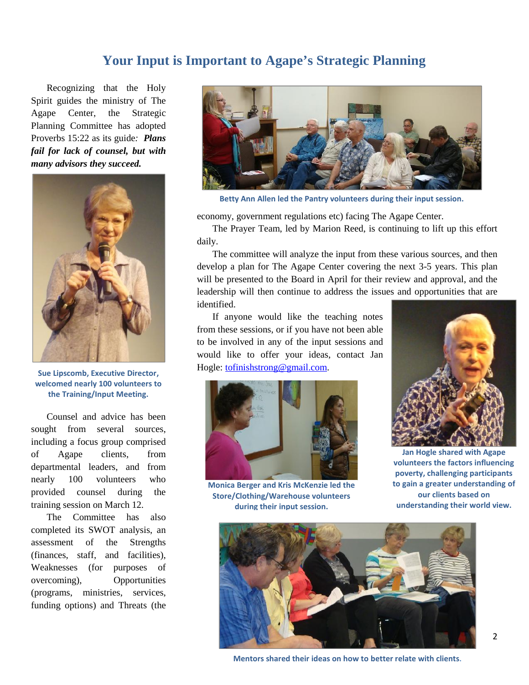# **Your Input is Important to Agape's Strategic Planning**

Recognizing that the Holy Spirit guides the ministry of The Agape Center, the Strategic Planning Committee has adopted Proverbs 15:22 as its guide*: Plans fail for lack of counsel, but with many advisors they succeed.*



**Sue Lipscomb, Executive Director, welcomed nearly 100 volunteers to the Training/Input Meeting.**

Counsel and advice has been sought from several sources, including a focus group comprised of Agape clients, from departmental leaders, and from nearly 100 volunteers who provided counsel during the training session on March 12.

The Committee has also completed its SWOT analysis, an assessment of the Strengths (finances, staff, and facilities), Weaknesses (for purposes of overcoming), Opportunities (programs, ministries, services, funding options) and Threats (the



**Betty Ann Allen led the Pantry volunteers during their input session.**

economy, government regulations etc) facing The Agape Center.

The Prayer Team, led by Marion Reed, is continuing to lift up this effort daily.

The committee will analyze the input from these various sources, and then develop a plan for The Agape Center covering the next 3-5 years. This plan will be presented to the Board in April for their review and approval, and the leadership will then continue to address the issues and opportunities that are identified.

If anyone would like the teaching notes from these sessions, or if you have not been able to be involved in any of the input sessions and would like to offer your ideas, contact Jan Hogle: tofinishstrong@gmail.com.



**Monica Berger and Kris McKenzie led the Store/Clothing/Warehouse volunteers during their input session.**



**Jan Hogle shared with Agape volunteers the factors influencing poverty, challenging participants to gain a greater understanding of our clients based on understanding their world view.**



**Mentors shared their ideas on how to better relate with clients.**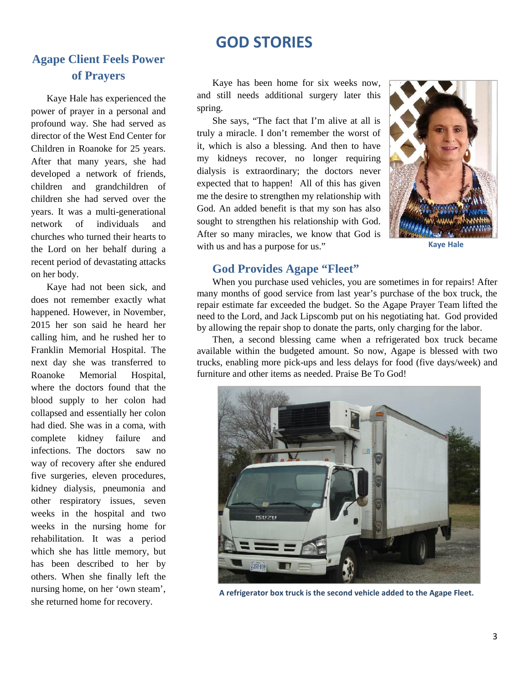# **GOD STORIES**

# **Agape Client Feels Power of Prayers**

Kaye Hale has experienced the power of prayer in a personal and profound way. She had served as director of the West End Center for Children in Roanoke for 25 years. After that many years, she had developed a network of friends, children and grandchildren of children she had served over the years. It was a multi-generational network of individuals and churches who turned their hearts to the Lord on her behalf during a recent period of devastating attacks on her body.

Kaye had not been sick, and does not remember exactly what happened. However, in November, 2015 her son said he heard her calling him, and he rushed her to Franklin Memorial Hospital. The next day she was transferred to Roanoke Memorial Hospital, where the doctors found that the blood supply to her colon had collapsed and essentially her colon had died. She was in a coma, with complete kidney failure and infections. The doctors saw no way of recovery after she endured five surgeries, eleven procedures, kidney dialysis, pneumonia and other respiratory issues, seven weeks in the hospital and two weeks in the nursing home for rehabilitation. It was a period which she has little memory, but has been described to her by others. When she finally left the nursing home, on her 'own steam', she returned home for recovery.

Kaye has been home for six weeks now, and still needs additional surgery later this spring.

She says, "The fact that I'm alive at all is truly a miracle. I don't remember the worst of it, which is also a blessing. And then to have my kidneys recover, no longer requiring dialysis is extraordinary; the doctors never expected that to happen! All of this has given me the desire to strengthen my relationship with God. An added benefit is that my son has also sought to strengthen his relationship with God. After so many miracles, we know that God is with us and has a purpose for us."



**Kaye Hale**

### **God Provides Agape "Fleet"**

When you purchase used vehicles, you are sometimes in for repairs! After many months of good service from last year's purchase of the box truck, the repair estimate far exceeded the budget. So the Agape Prayer Team lifted the need to the Lord, and Jack Lipscomb put on his negotiating hat. God provided by allowing the repair shop to donate the parts, only charging for the labor.

Then, a second blessing came when a refrigerated box truck became available within the budgeted amount. So now, Agape is blessed with two trucks, enabling more pick-ups and less delays for food (five days/week) and furniture and other items as needed. Praise Be To God!



**A refrigerator box truck is the second vehicle added to the Agape Fleet.**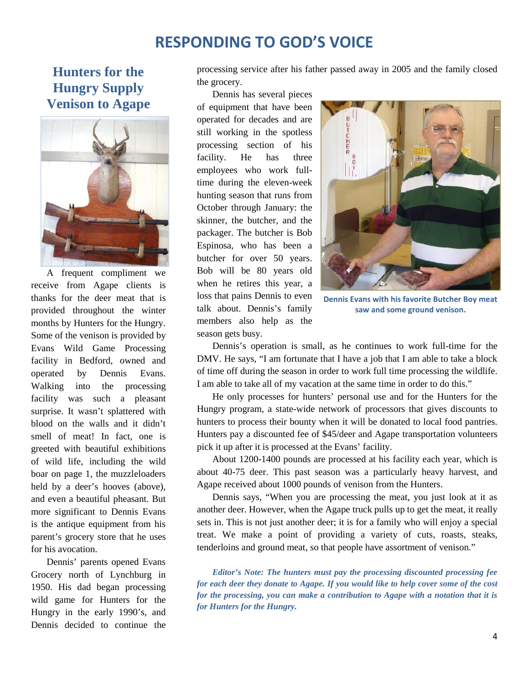# **RESPONDING TO GOD'S VOICE**

# **Hunters for the Hungry Supply Venison to Agape**



A frequent compliment we receive from Agape clients is thanks for the deer meat that is provided throughout the winter months by Hunters for the Hungry. Some of the venison is provided by Evans Wild Game Processing facility in Bedford, owned and operated by Dennis Evans. Walking into the processing facility was such a pleasant surprise. It wasn't splattered with blood on the walls and it didn't smell of meat! In fact, one is greeted with beautiful exhibitions of wild life, including the wild boar on page 1, the muzzleloaders held by a deer's hooves (above), and even a beautiful pheasant. But more significant to Dennis Evans is the antique equipment from his parent's grocery store that he uses for his avocation.

Dennis' parents opened Evans Grocery north of Lynchburg in 1950. His dad began processing wild game for Hunters for the Hungry in the early 1990's, and Dennis decided to continue the processing service after his father passed away in 2005 and the family closed the grocery.

Dennis has several pieces of equipment that have been operated for decades and are still working in the spotless processing section of his facility. He has three employees who work fulltime during the eleven-week hunting season that runs from October through January: the skinner, the butcher, and the packager. The butcher is Bob Espinosa, who has been a butcher for over 50 years. Bob will be 80 years old when he retires this year, a loss that pains Dennis to even talk about. Dennis's family members also help as the season gets busy.



**Dennis Evans with his favorite Butcher Boy meat saw and some ground venison.**

Dennis's operation is small, as he continues to work full-time for the DMV. He says, "I am fortunate that I have a job that I am able to take a block of time off during the season in order to work full time processing the wildlife. I am able to take all of my vacation at the same time in order to do this."

He only processes for hunters' personal use and for the Hunters for the Hungry program, a state-wide network of processors that gives discounts to hunters to process their bounty when it will be donated to local food pantries. Hunters pay a discounted fee of \$45/deer and Agape transportation volunteers pick it up after it is processed at the Evans' facility.

About 1200-1400 pounds are processed at his facility each year, which is about 40-75 deer. This past season was a particularly heavy harvest, and Agape received about 1000 pounds of venison from the Hunters.

Dennis says, "When you are processing the meat, you just look at it as another deer. However, when the Agape truck pulls up to get the meat, it really sets in. This is not just another deer; it is for a family who will enjoy a special treat. We make a point of providing a variety of cuts, roasts, steaks, tenderloins and ground meat, so that people have assortment of venison."

*Editor's Note: The hunters must pay the processing discounted processing fee for each deer they donate to Agape. If you would like to help cover some of the cost for the processing, you can make a contribution to Agape with a notation that it is for Hunters for the Hungry.*